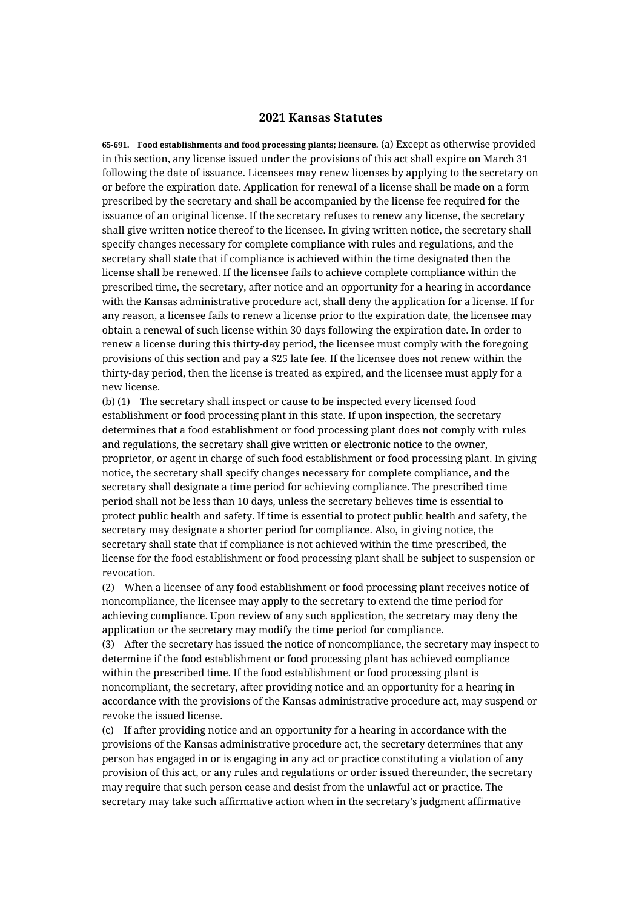## **2021 Kansas Statutes**

**65-691. Food establishments and food processing plants; licensure.** (a) Except as otherwise provided in this section, any license issued under the provisions of this act shall expire on March 31 following the date of issuance. Licensees may renew licenses by applying to the secretary on or before the expiration date. Application for renewal of a license shall be made on a form prescribed by the secretary and shall be accompanied by the license fee required for the issuance of an original license. If the secretary refuses to renew any license, the secretary shall give written notice thereof to the licensee. In giving written notice, the secretary shall specify changes necessary for complete compliance with rules and regulations, and the secretary shall state that if compliance is achieved within the time designated then the license shall be renewed. If the licensee fails to achieve complete compliance within the prescribed time, the secretary, after notice and an opportunity for a hearing in accordance with the Kansas administrative procedure act, shall deny the application for a license. If for any reason, a licensee fails to renew a license prior to the expiration date, the licensee may obtain a renewal of such license within 30 days following the expiration date. In order to renew a license during this thirty-day period, the licensee must comply with the foregoing provisions of this section and pay a \$25 late fee. If the licensee does not renew within the thirty-day period, then the license is treated as expired, and the licensee must apply for a new license.

(b) (1) The secretary shall inspect or cause to be inspected every licensed food establishment or food processing plant in this state. If upon inspection, the secretary determines that a food establishment or food processing plant does not comply with rules and regulations, the secretary shall give written or electronic notice to the owner, proprietor, or agent in charge of such food establishment or food processing plant. In giving notice, the secretary shall specify changes necessary for complete compliance, and the secretary shall designate a time period for achieving compliance. The prescribed time period shall not be less than 10 days, unless the secretary believes time is essential to protect public health and safety. If time is essential to protect public health and safety, the secretary may designate a shorter period for compliance. Also, in giving notice, the secretary shall state that if compliance is not achieved within the time prescribed, the license for the food establishment or food processing plant shall be subject to suspension or revocation.

(2) When a licensee of any food establishment or food processing plant receives notice of noncompliance, the licensee may apply to the secretary to extend the time period for achieving compliance. Upon review of any such application, the secretary may deny the application or the secretary may modify the time period for compliance.

(3) After the secretary has issued the notice of noncompliance, the secretary may inspect to determine if the food establishment or food processing plant has achieved compliance within the prescribed time. If the food establishment or food processing plant is noncompliant, the secretary, after providing notice and an opportunity for a hearing in accordance with the provisions of the Kansas administrative procedure act, may suspend or revoke the issued license.

(c) If after providing notice and an opportunity for a hearing in accordance with the provisions of the Kansas administrative procedure act, the secretary determines that any person has engaged in or is engaging in any act or practice constituting a violation of any provision of this act, or any rules and regulations or order issued thereunder, the secretary may require that such person cease and desist from the unlawful act or practice. The secretary may take such affirmative action when in the secretary's judgment affirmative